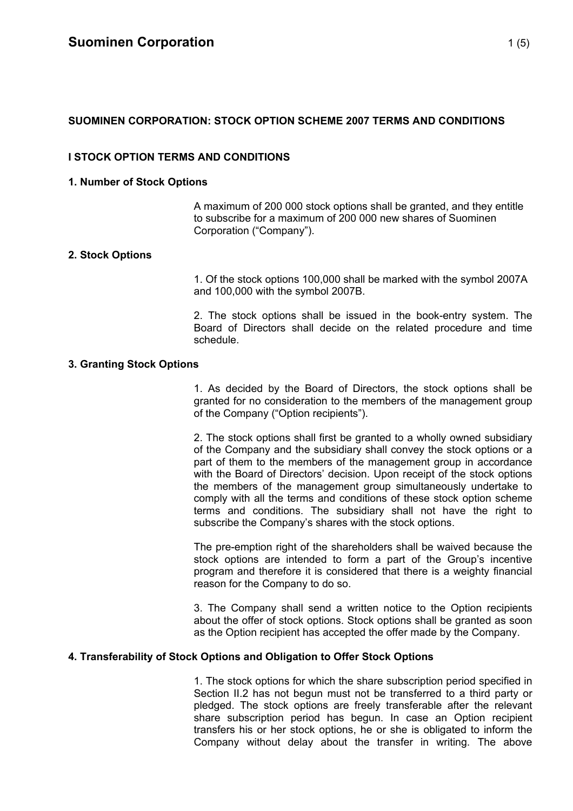# **SUOMINEN CORPORATION: STOCK OPTION SCHEME 2007 TERMS AND CONDITIONS**

# **I STOCK OPTION TERMS AND CONDITIONS**

## **1. Number of Stock Options**

A maximum of 200 000 stock options shall be granted, and they entitle to subscribe for a maximum of 200 000 new shares of Suominen Corporation ("Company").

## **2. Stock Options**

1. Of the stock options 100,000 shall be marked with the symbol 2007A and 100,000 with the symbol 2007B.

2. The stock options shall be issued in the book-entry system. The Board of Directors shall decide on the related procedure and time schedule.

### **3. Granting Stock Options**

1. As decided by the Board of Directors, the stock options shall be granted for no consideration to the members of the management group of the Company ("Option recipients").

2. The stock options shall first be granted to a wholly owned subsidiary of the Company and the subsidiary shall convey the stock options or a part of them to the members of the management group in accordance with the Board of Directors' decision. Upon receipt of the stock options the members of the management group simultaneously undertake to comply with all the terms and conditions of these stock option scheme terms and conditions. The subsidiary shall not have the right to subscribe the Company's shares with the stock options.

The pre-emption right of the shareholders shall be waived because the stock options are intended to form a part of the Group's incentive program and therefore it is considered that there is a weighty financial reason for the Company to do so.

3. The Company shall send a written notice to the Option recipients about the offer of stock options. Stock options shall be granted as soon as the Option recipient has accepted the offer made by the Company.

## **4. Transferability of Stock Options and Obligation to Offer Stock Options**

1. The stock options for which the share subscription period specified in Section II.2 has not begun must not be transferred to a third party or pledged. The stock options are freely transferable after the relevant share subscription period has begun. In case an Option recipient transfers his or her stock options, he or she is obligated to inform the Company without delay about the transfer in writing. The above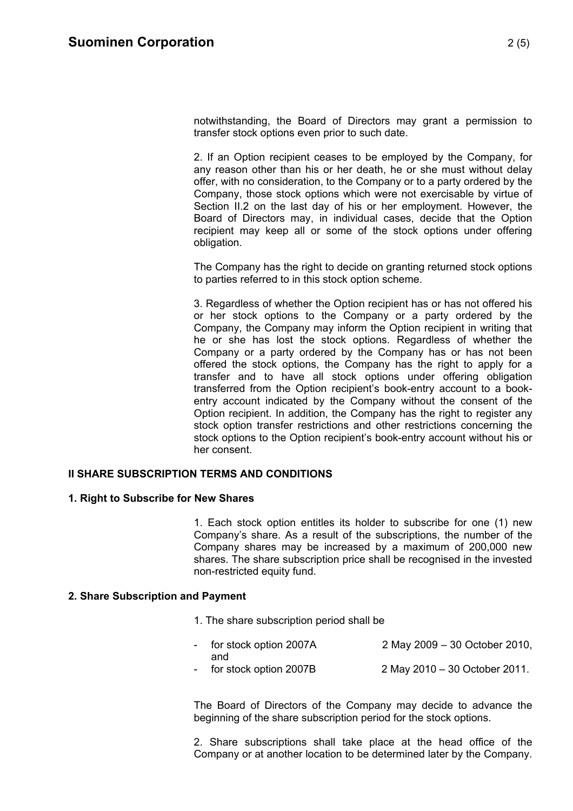notwithstanding, the Board of Directors may grant a permission to transfer stock options even prior to such date.

2. If an Option recipient ceases to be employed by the Company, for any reason other than his or her death, he or she must without delay offer, with no consideration, to the Company or to a party ordered by the Company, those stock options which were not exercisable by virtue of Section II.2 on the last day of his or her employment. However, the Board of Directors may, in individual cases, decide that the Option recipient may keep all or some of the stock options under offering obligation.

The Company has the right to decide on granting returned stock options to parties referred to in this stock option scheme.

3. Regardless of whether the Option recipient has or has not offered his or her stock options to the Company or a party ordered by the Company, the Company may inform the Option recipient in writing that he or she has lost the stock options. Regardless of whether the Company or a party ordered by the Company has or has not been offered the stock options, the Company has the right to apply for a transfer and to have all stock options under offering obligation transferred from the Option recipient's book-entry account to a bookentry account indicated by the Company without the consent of the Option recipient. In addition, the Company has the right to register any stock option transfer restrictions and other restrictions concerning the stock options to the Option recipient's book-entry account without his or her consent.

### **II SHARE SUBSCRIPTION TERMS AND CONDITIONS**

#### **1. Right to Subscribe for New Shares**

1. Each stock option entitles its holder to subscribe for one (1) new Company's share. As a result of the subscriptions, the number of the Company shares may be increased by a maximum of 200,000 new shares. The share subscription price shall be recognised in the invested non-restricted equity fund.

### **2. Share Subscription and Payment**

- 1. The share subscription period shall be
- for stock option 2007A 2 May 2009 30 October 2010, and for stock option 2007B 2 May 2010 – 30 October 2011.

The Board of Directors of the Company may decide to advance the beginning of the share subscription period for the stock options.

2. Share subscriptions shall take place at the head office of the Company or at another location to be determined later by the Company.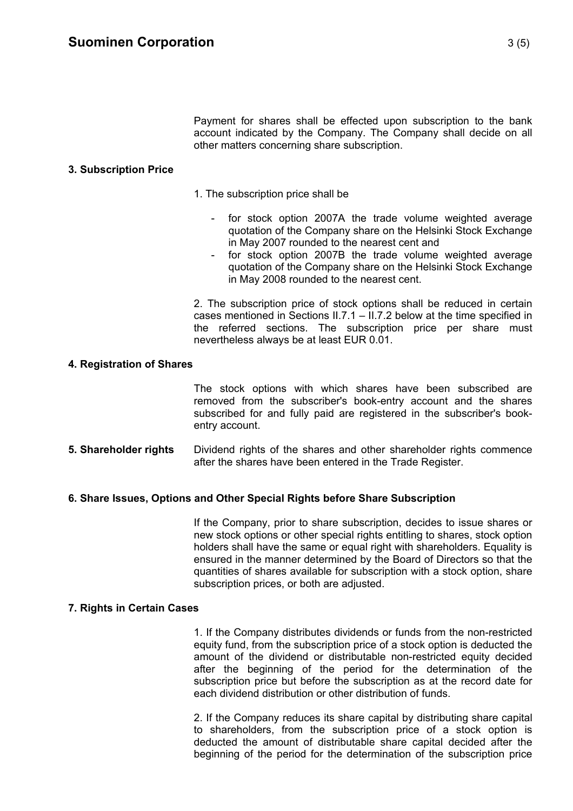Payment for shares shall be effected upon subscription to the bank account indicated by the Company. The Company shall decide on all other matters concerning share subscription.

### **3. Subscription Price**

- 1. The subscription price shall be
	- for stock option 2007A the trade volume weighted average quotation of the Company share on the Helsinki Stock Exchange in May 2007 rounded to the nearest cent and
	- for stock option 2007B the trade volume weighted average quotation of the Company share on the Helsinki Stock Exchange in May 2008 rounded to the nearest cent.

2. The subscription price of stock options shall be reduced in certain cases mentioned in Sections II.7.1 – II.7.2 below at the time specified in the referred sections. The subscription price per share must nevertheless always be at least EUR 0.01.

### **4. Registration of Shares**

The stock options with which shares have been subscribed are removed from the subscriber's book-entry account and the shares subscribed for and fully paid are registered in the subscriber's bookentry account.

**5. Shareholder rights** Dividend rights of the shares and other shareholder rights commence after the shares have been entered in the Trade Register.

### **6. Share Issues, Options and Other Special Rights before Share Subscription**

If the Company, prior to share subscription, decides to issue shares or new stock options or other special rights entitling to shares, stock option holders shall have the same or equal right with shareholders. Equality is ensured in the manner determined by the Board of Directors so that the quantities of shares available for subscription with a stock option, share subscription prices, or both are adjusted.

### **7. Rights in Certain Cases**

1. If the Company distributes dividends or funds from the non-restricted equity fund, from the subscription price of a stock option is deducted the amount of the dividend or distributable non-restricted equity decided after the beginning of the period for the determination of the subscription price but before the subscription as at the record date for each dividend distribution or other distribution of funds.

2. If the Company reduces its share capital by distributing share capital to shareholders, from the subscription price of a stock option is deducted the amount of distributable share capital decided after the beginning of the period for the determination of the subscription price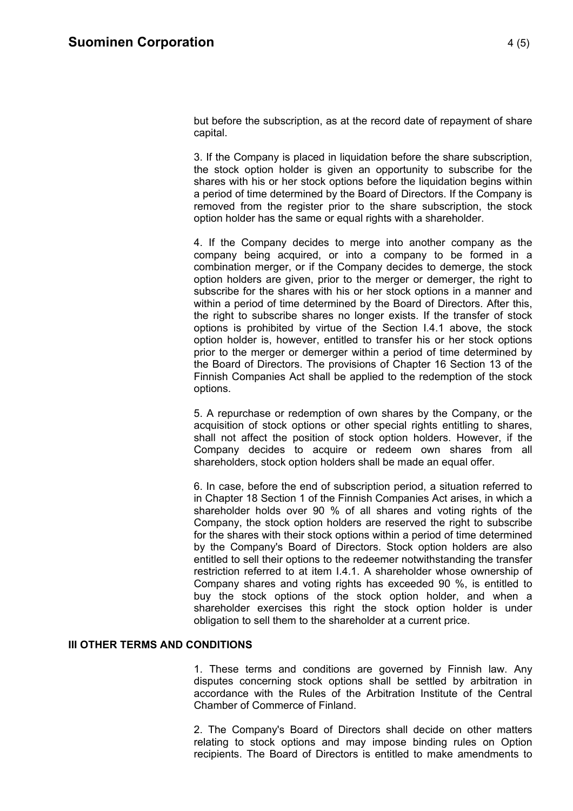but before the subscription, as at the record date of repayment of share capital.

3. If the Company is placed in liquidation before the share subscription, the stock option holder is given an opportunity to subscribe for the shares with his or her stock options before the liquidation begins within a period of time determined by the Board of Directors. If the Company is removed from the register prior to the share subscription, the stock option holder has the same or equal rights with a shareholder.

4. If the Company decides to merge into another company as the company being acquired, or into a company to be formed in a combination merger, or if the Company decides to demerge, the stock option holders are given, prior to the merger or demerger, the right to subscribe for the shares with his or her stock options in a manner and within a period of time determined by the Board of Directors. After this, the right to subscribe shares no longer exists. If the transfer of stock options is prohibited by virtue of the Section I.4.1 above, the stock option holder is, however, entitled to transfer his or her stock options prior to the merger or demerger within a period of time determined by the Board of Directors. The provisions of Chapter 16 Section 13 of the Finnish Companies Act shall be applied to the redemption of the stock options.

5. A repurchase or redemption of own shares by the Company, or the acquisition of stock options or other special rights entitling to shares, shall not affect the position of stock option holders. However, if the Company decides to acquire or redeem own shares from all shareholders, stock option holders shall be made an equal offer.

6. In case, before the end of subscription period, a situation referred to in Chapter 18 Section 1 of the Finnish Companies Act arises, in which a shareholder holds over 90 % of all shares and voting rights of the Company, the stock option holders are reserved the right to subscribe for the shares with their stock options within a period of time determined by the Company's Board of Directors. Stock option holders are also entitled to sell their options to the redeemer notwithstanding the transfer restriction referred to at item I.4.1. A shareholder whose ownership of Company shares and voting rights has exceeded 90 %, is entitled to buy the stock options of the stock option holder, and when a shareholder exercises this right the stock option holder is under obligation to sell them to the shareholder at a current price.

## **III OTHER TERMS AND CONDITIONS**

1. These terms and conditions are governed by Finnish law. Any disputes concerning stock options shall be settled by arbitration in accordance with the Rules of the Arbitration Institute of the Central Chamber of Commerce of Finland.

2. The Company's Board of Directors shall decide on other matters relating to stock options and may impose binding rules on Option recipients. The Board of Directors is entitled to make amendments to